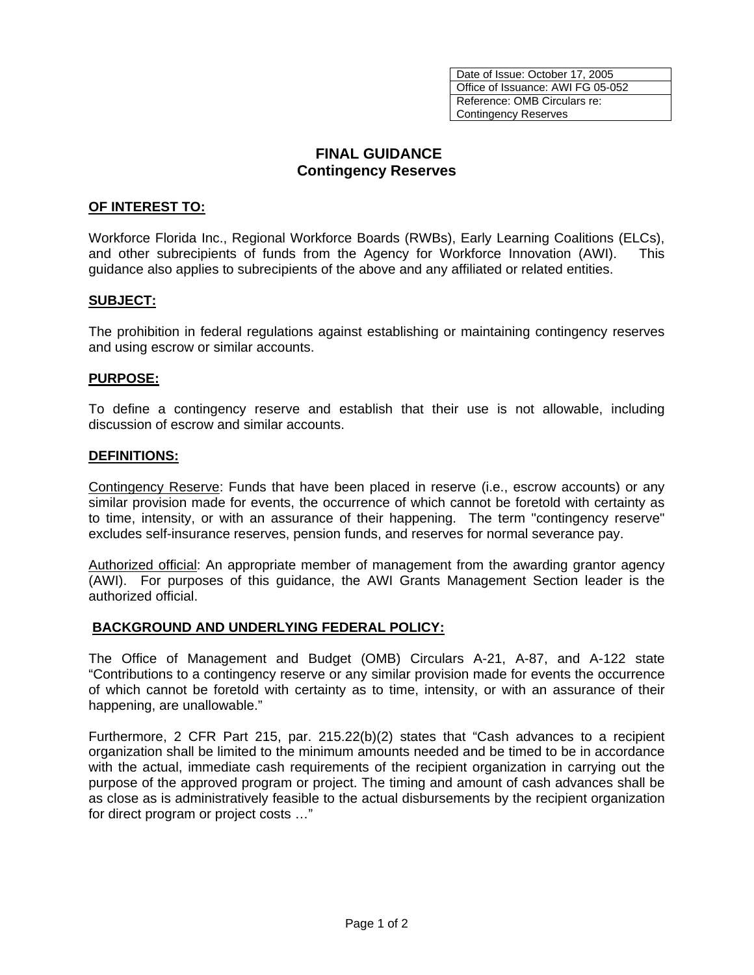Date of Issue: October 17, 2005 Office of Issuance: AWI FG 05-052 Reference: OMB Circulars re: Contingency Reserves

# **FINAL GUIDANCE Contingency Reserves**

## **OF INTEREST TO:**

Workforce Florida Inc., Regional Workforce Boards (RWBs), Early Learning Coalitions (ELCs), and other subrecipients of funds from the Agency for Workforce Innovation (AWI). This guidance also applies to subrecipients of the above and any affiliated or related entities.

### **SUBJECT:**

The prohibition in federal regulations against establishing or maintaining contingency reserves and using escrow or similar accounts.

### **PURPOSE:**

To define a contingency reserve and establish that their use is not allowable, including discussion of escrow and similar accounts.

### **DEFINITIONS:**

Contingency Reserve: Funds that have been placed in reserve (i.e., escrow accounts) or any similar provision made for events, the occurrence of which cannot be foretold with certainty as to time, intensity, or with an assurance of their happening. The term "contingency reserve" excludes self-insurance reserves, pension funds, and reserves for normal severance pay.

Authorized official: An appropriate member of management from the awarding grantor agency (AWI). For purposes of this guidance, the AWI Grants Management Section leader is the authorized official.

#### **BACKGROUND AND UNDERLYING FEDERAL POLICY:**

The Office of Management and Budget (OMB) Circulars A-21, A-87, and A-122 state "Contributions to a contingency reserve or any similar provision made for events the occurrence of which cannot be foretold with certainty as to time, intensity, or with an assurance of their happening, are unallowable."

Furthermore, 2 CFR Part 215, par. 215.22(b)(2) states that "Cash advances to a recipient organization shall be limited to the minimum amounts needed and be timed to be in accordance with the actual, immediate cash requirements of the recipient organization in carrying out the purpose of the approved program or project. The timing and amount of cash advances shall be as close as is administratively feasible to the actual disbursements by the recipient organization for direct program or project costs …"